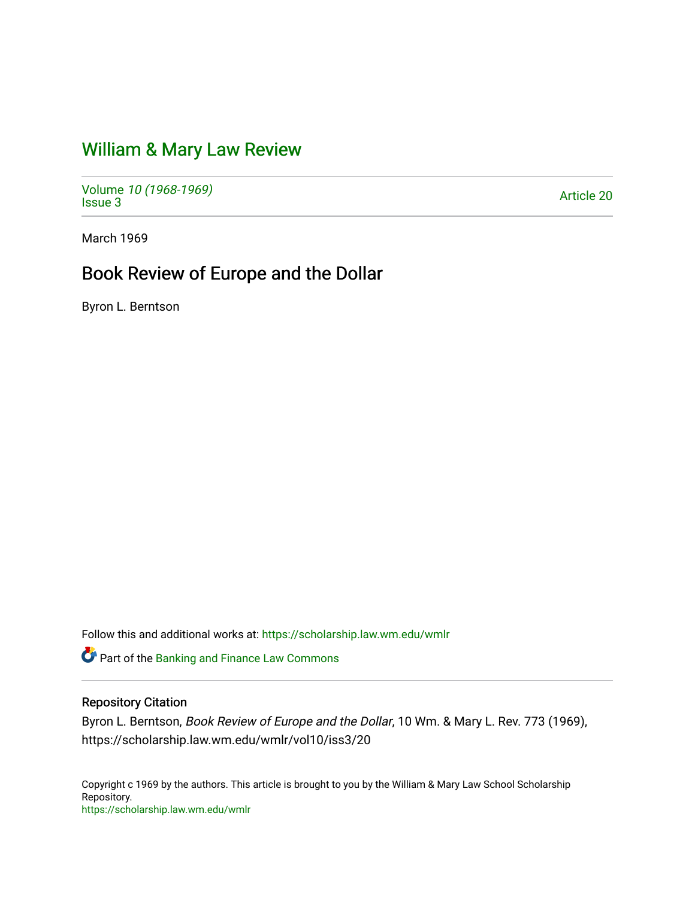## [William & Mary Law Review](https://scholarship.law.wm.edu/wmlr)

Volume [10 \(1968-1969\)](https://scholarship.law.wm.edu/wmlr/vol10)  volume *10* (*1900-1909)*<br>[Issue 3](https://scholarship.law.wm.edu/wmlr/vol10/iss3) Article 20

March 1969

## Book Review of Europe and the Dollar

Byron L. Berntson

Follow this and additional works at: [https://scholarship.law.wm.edu/wmlr](https://scholarship.law.wm.edu/wmlr?utm_source=scholarship.law.wm.edu%2Fwmlr%2Fvol10%2Fiss3%2F20&utm_medium=PDF&utm_campaign=PDFCoverPages)

**C**<sup> $\bullet$ </sup> Part of the Banking and Finance Law Commons

## Repository Citation

Byron L. Berntson, Book Review of Europe and the Dollar, 10 Wm. & Mary L. Rev. 773 (1969), https://scholarship.law.wm.edu/wmlr/vol10/iss3/20

Copyright c 1969 by the authors. This article is brought to you by the William & Mary Law School Scholarship Repository. <https://scholarship.law.wm.edu/wmlr>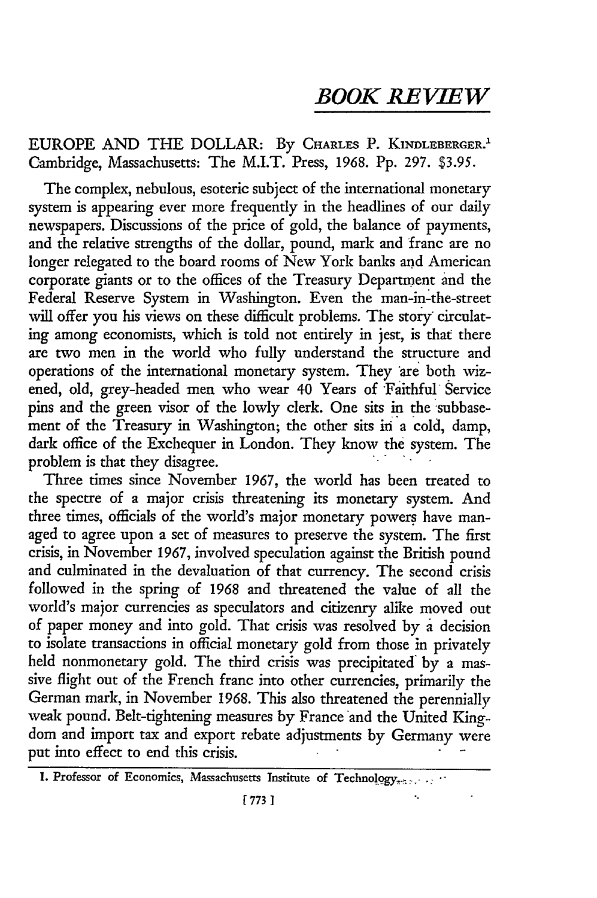## *BOOK REVIEW*

EUROPE **AND** THE DOLLAR: By **CHARLES** P. KINDLEBERGER.' Cambridge, Massachusetts: The M.I.T. Press, 1968. **Pp.** 297. \$3.95.

The complex, nebulous, esoteric subject of the international monetary system is appearing ever more frequently in the headlines of our daily newspapers. Discussions of the price of gold, the balance of payments, and the relative strengths of the dollar, pound, mark and franc are no longer relegated to the board rooms of New York banks and American corporate giants or to the offices of the Treasury Department and the Federal Reserve System in Washington. Even the man-in-the-street will offer you his views on these difficult problems. The story circulating among economists, which is told not entirely in jest, is that there are two men in the world who fully understand the structure and operations of the international monetary system. They are both wizened, old, grey-headed men who wear 40 Years of Faithful Service pins and the green visor of the lowly clerk. One sits in the subbasement of the Treasury in Washington; the other sits in 'a cold, damp, dark office of the Exchequer in London. They know the system. The problem is that they disagree.

Three times since November 1967, the world has been treated to the spectre of a major crisis threatening its monetary system. And three times, officials of the world's major monetary powers have managed to agree upon a set of measures to preserve the system. The first crisis, in November 1967, involved speculation against the British pound and culminated in the devaluation of that currency. The second crisis followed in the spring of 1968 and threatened the value of all the world's major currencies as speculators and citizenry alike moved out of paper money and into gold. That crisis was resolved by a decision to isolate transactions in official monetary gold from those in privately held nonmonetary gold. The third crisis was precipitated by a massive flight out of the French franc into other currencies, primarily the German mark, in November 1968. This also threatened the perennially weak pound. Belt-tightening measures by France and the United Kingdom and import tax and export rebate adjustments by Germany were put into effect to end this crisis.

<sup>1.</sup> Professor of Economics, Massachusetts Institute of Technology,.................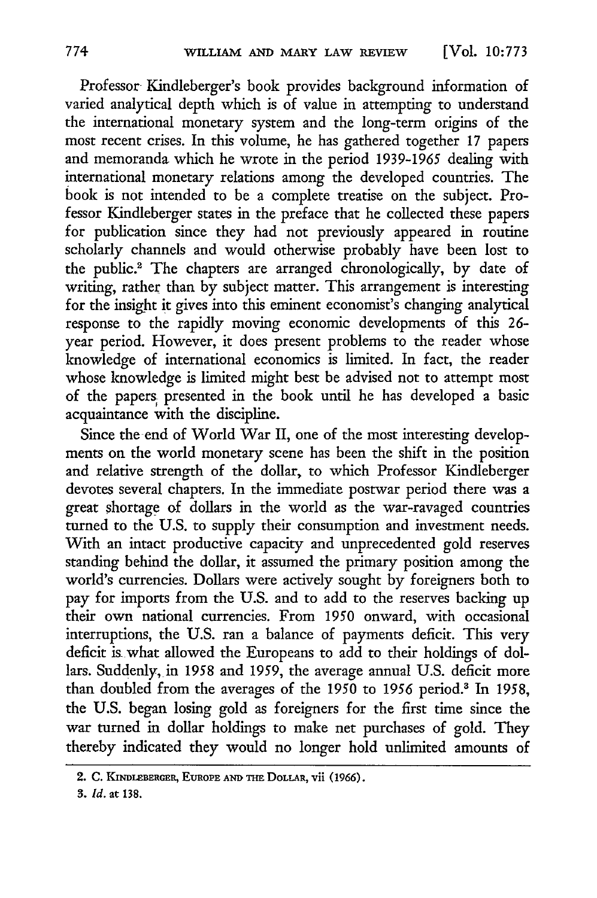Professor Kindleberger's book provides background information of varied analytical depth which is of value in attempting to understand the international monetary system and the long-term origins of the most recent crises. In this volume, he has gathered together 17 papers and memoranda. which he wrote in the period 1939-1965 dealing with international monetary relations among the developed countries. The book is not intended to be a complete treatise on the subject. Professor Kindleberger states in the preface that he collected these papers for publication since they had not previously appeared in routine scholarly channels and would otherwise probably have been lost to the public.<sup>2</sup> The chapters are arranged chronologically, by date of writing, rather than by subject matter. This arrangement is interesting for the insight it gives into this eminent economist's changing analytical response to the rapidly moving economic developments of this 26 year period. However, it does present problems to the reader whose knowledge of international economics is limited. In fact, the reader whose knowledge is limited might best be advised not to attempt most of the papers, presented in the book until he has developed a basic acquaintance with the discipline.

Since the end of World War II, one of the most interesting developments on the world monetary scene has been the shift in the position and relative strength of the dollar, to which Professor Kindleberger devotes several chapters. In the immediate postwar period there was a great shortage of dollars in the world as the war-ravaged countries turned to the U.S. to supply their consumption and investment needs. With an intact productive capacity and unprecedented gold reserves standing behind the dollar, it assumed the primary position among the world's currencies. Dollars were actively sought by foreigners both to pay for imports from the U.S. and to add to the reserves backing up their own national currencies. From 1950 onward, with occasional interruptions, the U.S. ran a balance of payments deficit. This very deficit is what allowed the Europeans to add to their holdings of dollars. Suddenly, in 1958 and 1959, the average annual U.S. deficit more than doubled from the averages of the 1950 to *1956* period.' In 1958, the U.S. began losing gold as foreigners for the first time since the war turned in dollar holdings to make net purchases of gold. They thereby indicated they would no longer hold unlimited amounts of

<sup>2.</sup> **C. KINDLBERGER, EUROPE AND THE DOLLAR, Vii (1966).**

**<sup>3.</sup>** *Id.* **at 138.**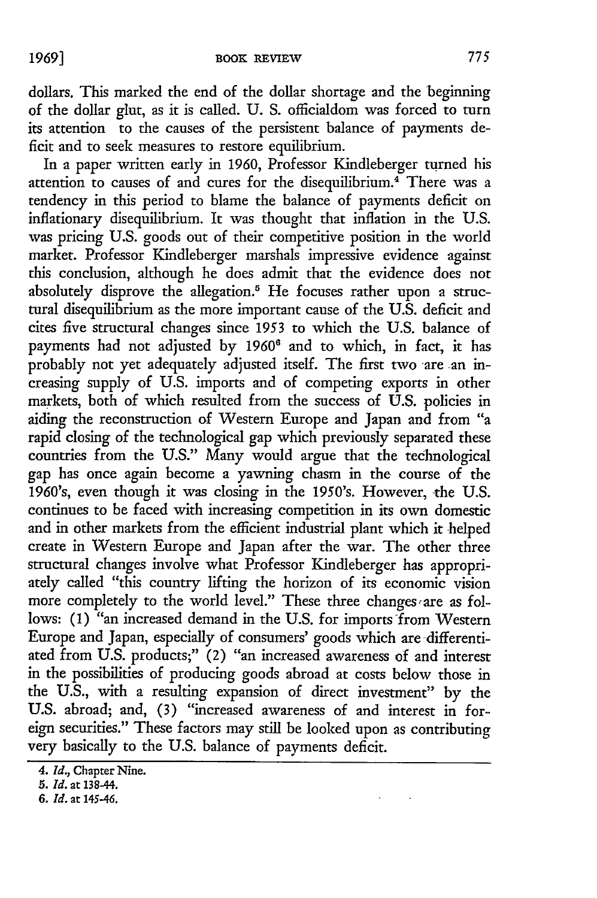dollars. This marked the end of the dollar shortage and the beginning of the dollar glut, as it is called. U. S. officialdom was forced to turn its attention to the causes of the persistent balance of payments deficit and to seek measures to restore equilibrium.

In a paper written early in 1960, Professor Kindleberger turned his attention to causes of and cures for the disequilibrium.<sup>4</sup> There was a tendency in this period to blame the balance of payments deficit on inflationary disequilibrium. It was thought that inflation in the U.S. was pricing U.S. goods out of their competitive position in the world market. Professor Kindleberger marshals impressive evidence against this conclusion, although he does admit that the evidence does not absolutely disprove the allegation.<sup>5</sup> He focuses rather upon a structural disequilibrium as the more important cause of the U.S. deficit and cites five structural changes since 1953 to which the U.S. balance of payments had not adjusted by **1960'** and to which, in fact, it has probably not yet adequately adjusted itself. The first two are an *in*creasing supply of U.S. imports and of competing exports in other markets, both of which resulted from the success of U.S. policies in aiding the reconstruction of Western Europe and Japan and from "a rapid closing of the technological gap which previously separated these countries from the U.S." Many would argue that the technological gap has once again become a yawning chasm in the course of the 1960's, even though it was closing in the 1950's. However, the U.S. continues to be faced with increasing competition in its own domestic and in other markets from the efficient industrial plant which it helped create in Western Europe and Japan after the war. The other three structural changes involve what Professor Kindleberger has appropriately called "this country lifting the horizon of its economic vision more completely to the world level." These three changes are as follows: **(1)** "an increased demand in the U.S. for imports from Western Europe and Japan, especially of consumers' goods which are differentiated from U.S. products;" (2) "an increased awareness of and interest in the possibilities of producing goods abroad at costs below those in the U.S., with a resulting expansion of direct investment" by the U.S. abroad; and, (3) "increased awareness of and interest in foreign securities." These factors may still be looked upon as contributing very basically to the U.S. balance of payments deficit.

*<sup>4.</sup> Id.,* Chapter Nine.

*<sup>5.</sup> Id.* at 138-44.

*<sup>6.</sup> Id.* at 145-46.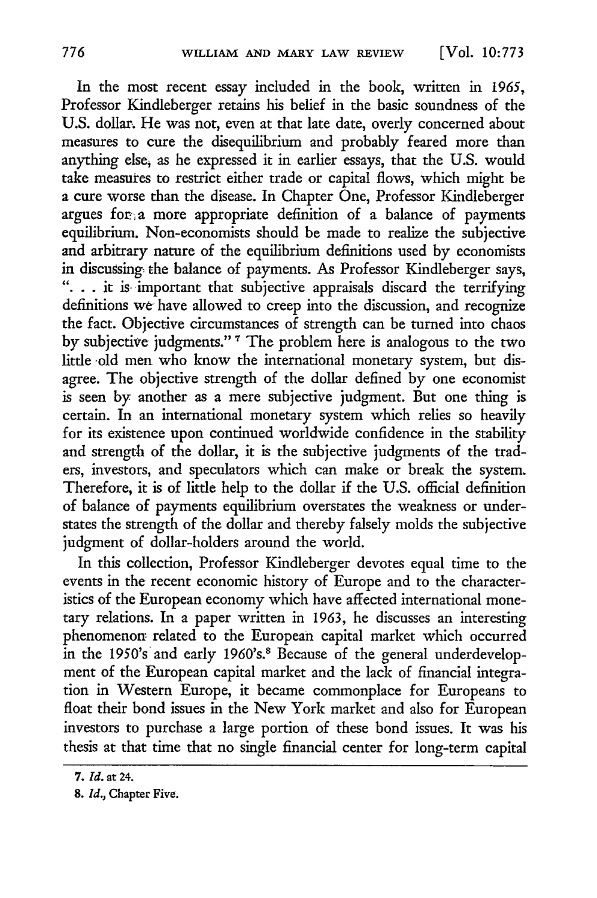[Vol. **10:773**

In the most recent essay included in the book, written in 1965, Professor Kindleberger retains his belief in the basic soundness of the U.S. dollar. He was not, even at that late date, overly concerned about measures to cure the disequilibrium and probably feared more than anything else, as he expressed it in earlier essays, that the U.S. would take measures to restrict either trade or capital flows, which might be a cure worse than the disease. In Chapter One, Professor Kindleberger argues for, a more appropriate definition of a balance of payments equilibrium. Non-economists should be made to realize the subjective and arbitrary nature of the equilibrium definitions used by economists in discussing: the balance of payments. As Professor Kindleberger says, **..** . it is- important that subjective appraisals discard the terrifying definitions we have allowed to creep into the discussion, and recognize the fact. Objective circumstances of strength can be turned into chaos by subjective judgments." **7** The problem here is analogous to the two little old men who know the international monetary system, but disagree. The objective strength of the dollar defined by one economist is seen by another as a mere subjective judgment. But one thing is certain. In an international monetary system which relies so heavily for its existence upon continued worldwide confidence in the stability and strength of the dollar, it is the subjective judgments of the traders, investors, and speculators which can make or break the system. Therefore, it is of little help to the dollar if the U.S. official definition of balance of payments equilibrium overstates the weakness or understates the strength of the dollar and thereby falsely molds the subjective judgment of dollar-holders around the world.

In this collection, Professor Kindleberger devotes equal time to the events in the recent economic history of Europe and to the characteristics of the European economy which have affected international monetary relations. In a paper written in 1963, he discusses an interesting phenomenon related to the European capital market which occurred in the 1950's and early 1960's.<sup>8</sup> Because of the general underdevelopment of the European capital market and the lack of financial integration in Western Europe, it became commonplace for Europeans to float their bond issues in the New York market and also for European investors to purchase a large portion of these bond issues. It was his thesis at that time that no single financial center for long-term capital

**<sup>7.</sup>** *Id.* at **24.**

**<sup>8.</sup>** *Id.,* Chapter Five.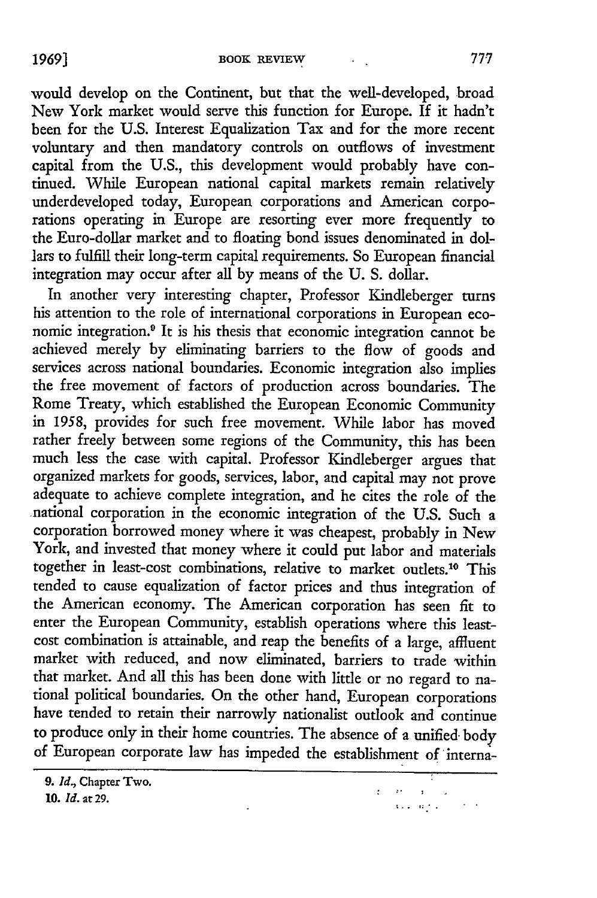would develop on the Continent, but that the well-developed, broad New York market would serve this function for Europe. If it hadn't been for the U.S. Interest Equalization Tax and for the more recent voluntary and then mandatory controls on outflows of investment capital from the U.S., this development would probably have continued. While European national capital markets remain relatively underdeveloped today, European corporations and American corporations operating in Europe are resorting ever more frequently to the Euro-dollar market and to floating bond issues denominated in dollars to fulfill their long-term capital requirements. So European financial integration may occur after all by means of the U. S. dollar.

In another very interesting chapter, Professor Kindleberger turns his attention to the role of international corporations in European economic integration.<sup>9</sup> It is his thesis that economic integration cannot be achieved merely by eliminating barriers to the flow of goods and services across national boundaries. Economic integration also implies the free movement of factors of production across boundaries. The Rome Treaty, which established the European Economic Community in 1958, provides for such free movement. While labor has moved rather freely between some regions of the Community, this has been much less the case with capital. Professor Kindleberger argues that organized markets for goods, services, labor, and capital may not prove adequate to achieve complete integration, and he cites the role of the national corporation in the economic integration of the U.S. Such a corporation borrowed money where it was cheapest, probably in New York, and invested that money where it could put labor and materials together in least-cost combinations, relative to market outlets."0 This tended to cause equalization of factor prices and thus integration of the American economy. The American corporation has seen fit to enter the European Community, establish operations where this leastcost combination is attainable, and reap the benefits of a large, affluent market with reduced, and now eliminated, barriers to trade within that market. And all this has been done with little or no regard to national political boundaries. On the other hand, European corporations have tended to retain their narrowly nationalist outlook and continue to produce only in their home countries. The absence of a unified. body of European corporate law has impeded the establishment of interna-

 $\mathcal{L}^{\text{max}}(\mathcal{D}^{\text{max}})$  . In  $\mathbf{G}(\mathbf{x})$  and  $\mathbf{G}(\mathbf{x})$  .

**<sup>9.</sup>** *Id.,* Chapter Two.

**<sup>10.</sup>** *Id.* at **29.**